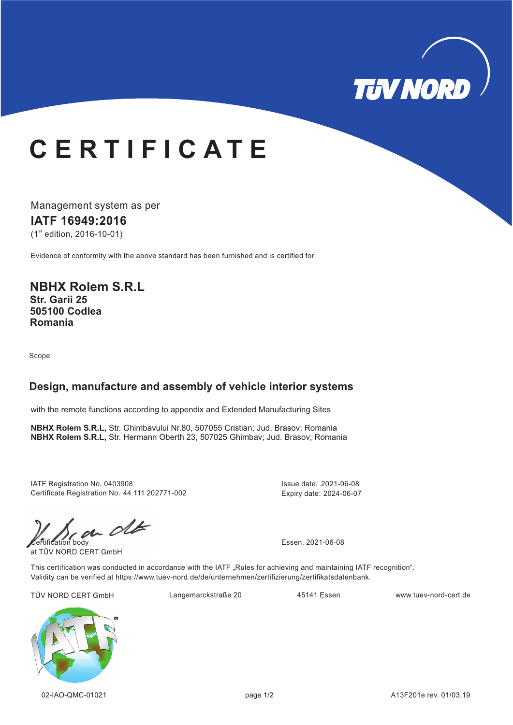

# **C E R T I F I C A T E**

Management system as per **IATF 16949: 16 20**  $(1<sup>st</sup>$  edition, 2016-10-01)

Evidence of conformity with the above standard has been furnished and is certified for

**NBHX Rolem S.R.L Str. Garii 25 505100 Codlea Romania**

Scope

#### **Design, manufacture and assembly of vehicle interior systems**

with the remote functions according to appendix and Extended Manufacturing Sites

**NBHX Rolem S.R.L,** Str. Ghimbavului Nr.80, 507055 Cristian; Jud. Brasov; Romania , **NBHX Rolem S.R.L,** Str. Hermann Oberth 23 507025 Ghimbav; Jud. Brasov; Romania

IATF Registration No. 0403908 Certificate Registration No. 44 111 202771-002 Issue date: 2021-06-08 Expiry date: 2024-06-07

Certification body<br>
FIN NORD CERT 2011

at TÜV NORD CERT GmbH

This certification was conducted in accordance with the IATF "Rules for achieving and maintaining IATF recognition". Validity can be verified at https://www.tuev-nord.de/de/unternehmen/zertifizierung/zertifikatsdatenbank.

TÜV NORD CERT GmbH Langemarckstraße 20 45141 Essen www.tuev-nord-cert.de